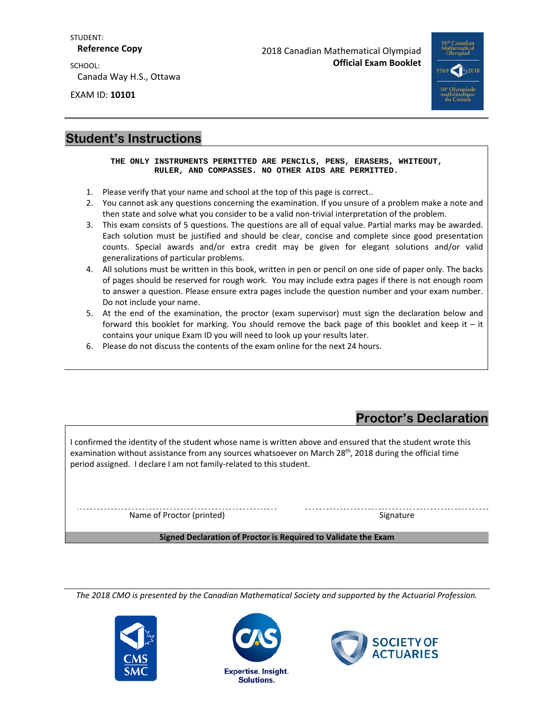STUDENT:

## **Reference Copy**

SCHOOL:

Canada Way H.S., Ottawa

EXAM ID: **10101**

 2018 Canadian Mathematical Olympiad **Official Exam Booklet**



## **Student's Instructions**

**THE ONLY INSTRUMENTS PERMITTED ARE PENCILS, PENS, ERASERS, WHITEOUT, RULER, AND COMPASSES. NO OTHER AIDS ARE PERMITTED.** 

- 1. Please verify that your name and school at the top of this page is correct..
- 2. You cannot ask any questions concerning the examination. If you unsure of a problem make a note and then state and solve what you consider to be a valid non-trivial interpretation of the problem.
- 3. This exam consists of 5 questions. The questions are all of equal value. Partial marks may be awarded. Each solution must be justified and should be clear, concise and complete since good presentation counts. Special awards and/or extra credit may be given for elegant solutions and/or valid generalizations of particular problems.
- 4. All solutions must be written in this book, written in pen or pencil on one side of paper only. The backs of pages should be reserved for rough work. You may include extra pages if there is not enough room to answer a question. Please ensure extra pages include the question number and your exam number. Do not include your name.
- 5. At the end of the examination, the proctor (exam supervisor) must sign the declaration below and forward this booklet for marking. You should remove the back page of this booklet and keep it  $-$  it contains your unique Exam ID you will need to look up your results later.
- 6. Please do not discuss the contents of the exam online for the next 24 hours.

## **Proctor's Declaration**

I confirmed the identity of the student whose name is written above and ensured that the student wrote this examination without assistance from any sources whatsoever on March 28<sup>th</sup>, 2018 during the official time period assigned. I declare I am not family‐related to this student.

Name of Proctor (printed) 3ignature Signature

**Signed Declaration of Proctor is Required to Validate the Exam** 

*The 2018 CMO is presented by the Canadian Mathematical Society and supported by the Actuarial Profession.*





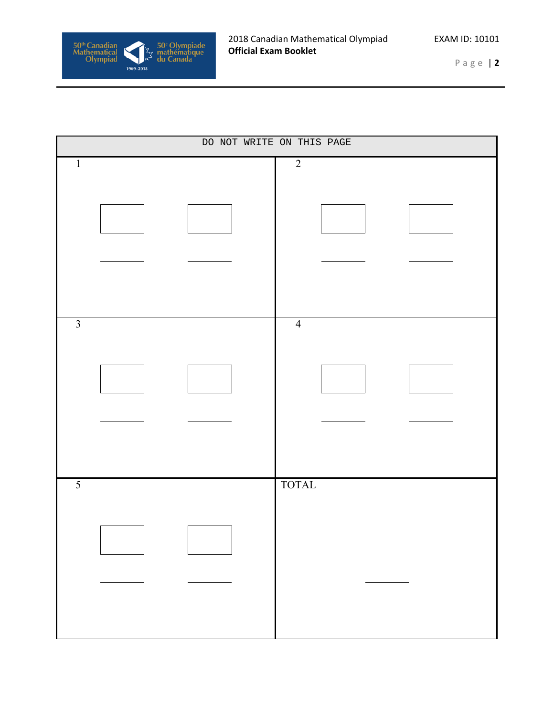

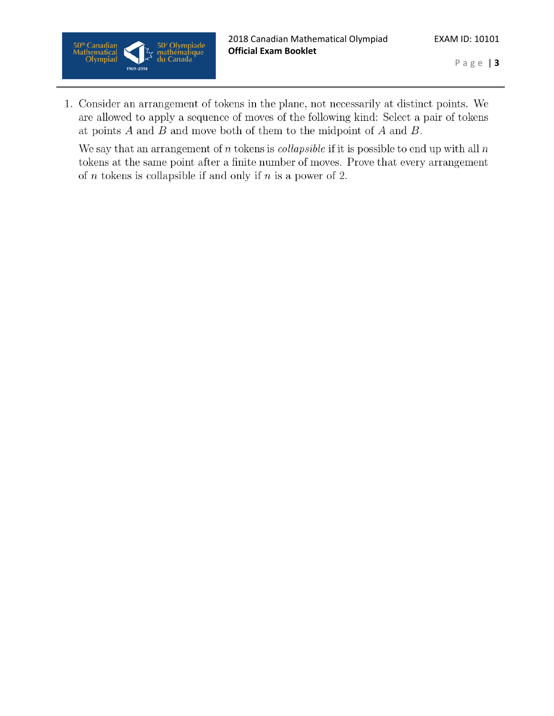

1. Consider an arrangement of tokens in the plane, not necessarily at distinct points. We are allowed to apply a sequence of moves of the following kind: Select a pair of tokens at points  $A$  and  $B$  and move both of them to the midpoint of  $A$  and  $B$ .

We say that an arrangement of *n* tokens is *collapsible* if it is possible to end up with all *n* tokens at the same point after a finite number of moves. Prove that every arrangement of *n* tokens is collapsible if and only if *n* is a power of 2.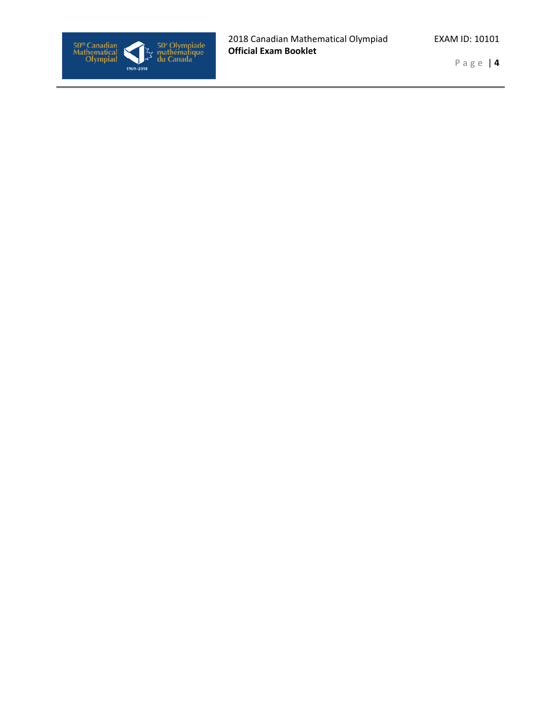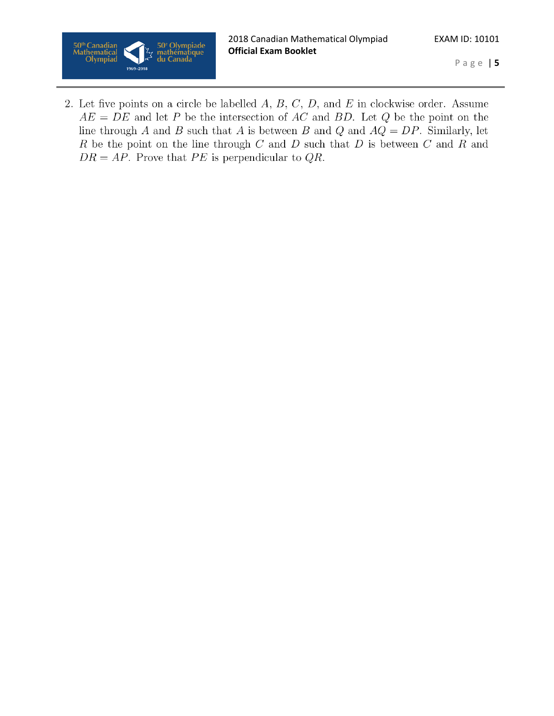

2. Let five points on a circle be labelled  $A, B, C, D$ , and  $E$  in clockwise order. Assume  $AE = DE$  and let P be the intersection of AC and BD. Let Q be the point on the line through A and B such that A is between B and Q and  $AQ = DP$ . Similarly, let  $R$  be the point on the line through  $C$  and  $D$  such that  $D$  is between  $C$  and  $R$  and  $DR = AP$ . Prove that PE is perpendicular to QR.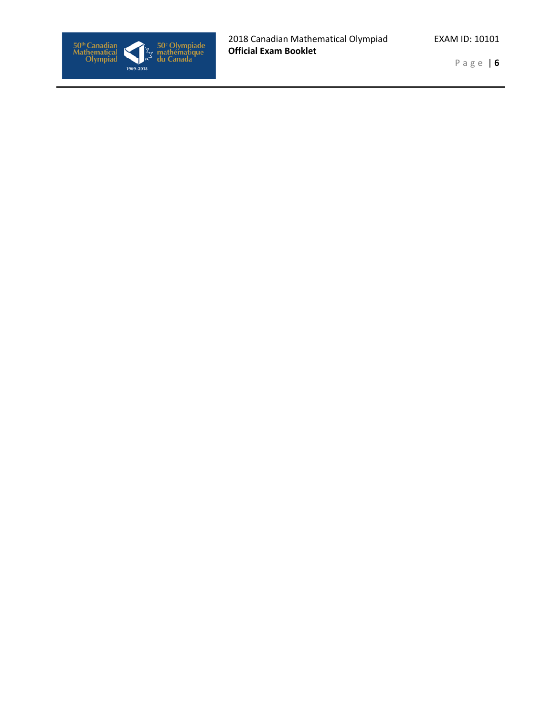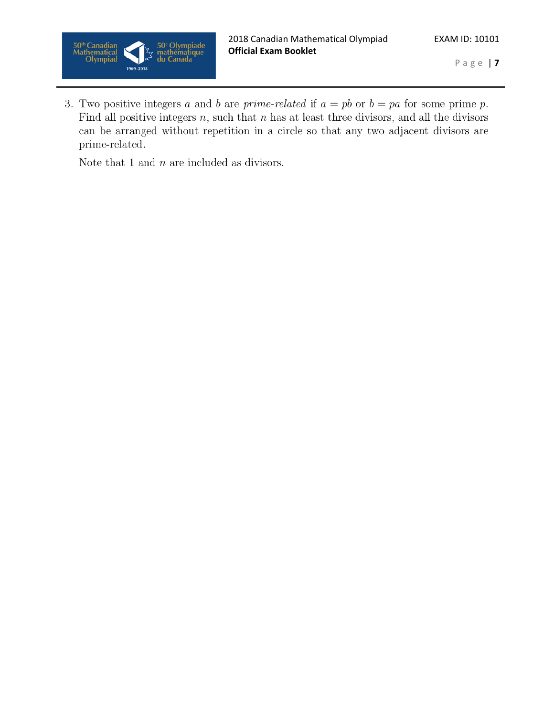

3. Two positive integers a and b are *prime-related* if  $a = pb$  or  $b = pa$  for some prime p. Find all positive integers  $n$ , such that  $n$  has at least three divisors, and all the divisors can be arranged without repetition in a circle so that any two adjacent divisors are prime-related.

Note that 1 and  $n$  are included as divisors.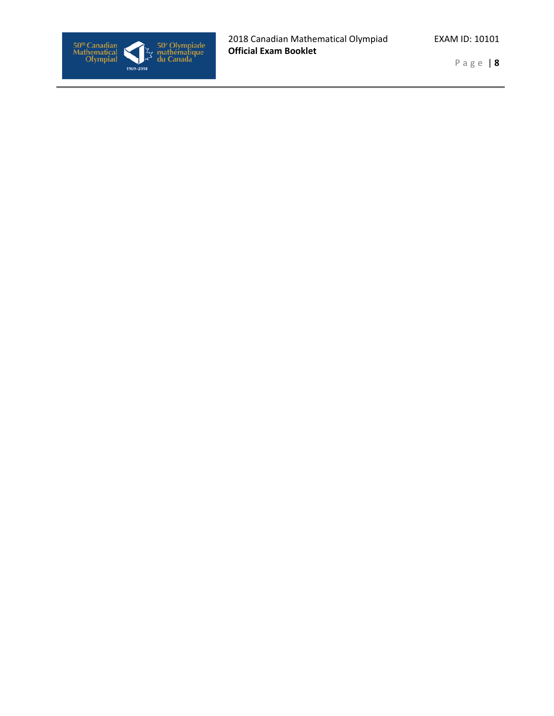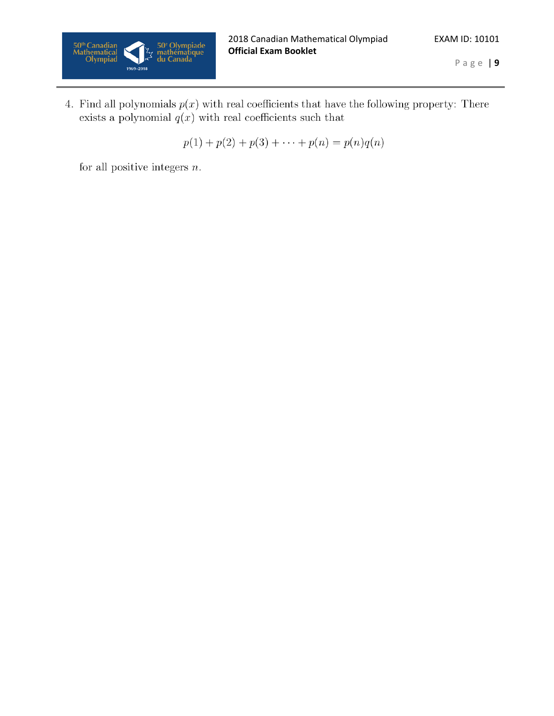

4. Find all polynomials  $p(x)$  with real coefficients that have the following property: There exists a polynomial  $q(x)$  with real coefficients such that

$$
p(1) + p(2) + p(3) + \cdots + p(n) = p(n)q(n)
$$

for all positive integers  $n$ .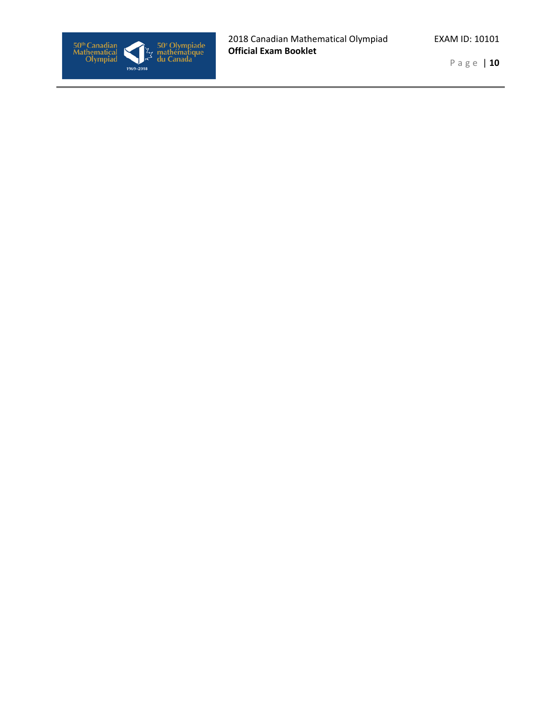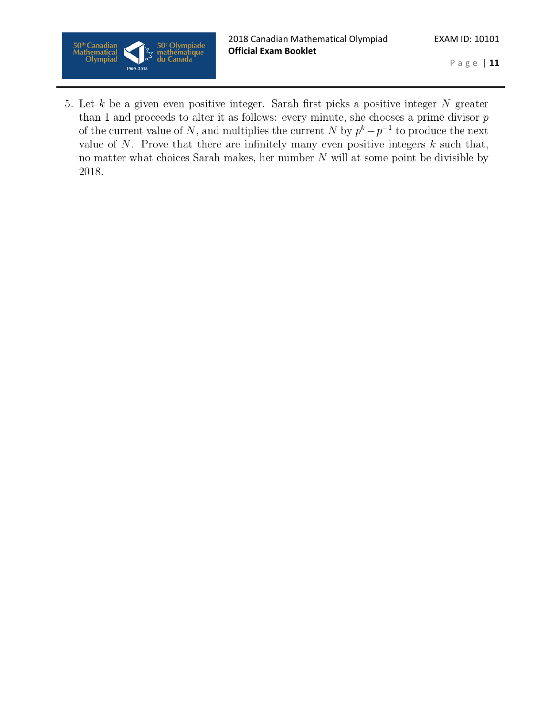

5. Let k be a given even positive integer. Sarah first picks a positive integer N greater than 1 and proceeds to alter it as follows: every minute, she chooses a prime divisor  $p$ of the current value of N, and multiplies the current N by  $p^k - p^{-1}$  to produce the next value of  $N$ . Prove that there are infinitely many even positive integers  $k$  such that, no matter what choices Sarah makes, her number  $N$  will at some point be divisible by 2018.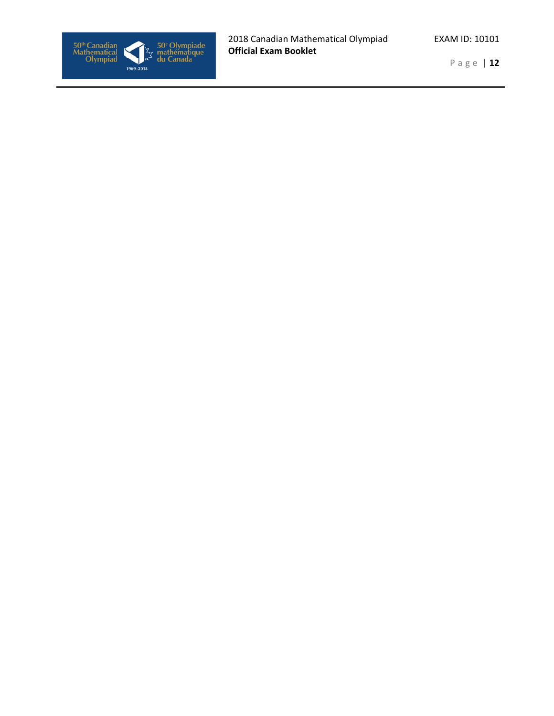